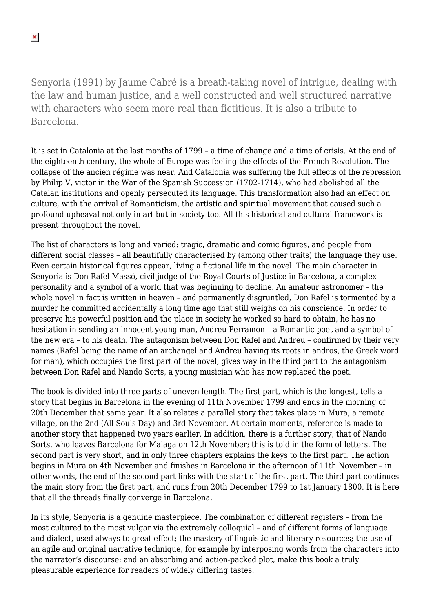Senyoria (1991) by Jaume Cabré is a breath-taking novel of intrigue, dealing with the law and human justice, and a well constructed and well structured narrative with characters who seem more real than fictitious. It is also a tribute to Barcelona.

It is set in Catalonia at the last months of 1799 – a time of change and a time of crisis. At the end of the eighteenth century, the whole of Europe was feeling the effects of the French Revolution. The collapse of the ancien régime was near. And Catalonia was suffering the full effects of the repression by Philip V, victor in the War of the Spanish Succession (1702-1714), who had abolished all the Catalan institutions and openly persecuted its language. This transformation also had an effect on culture, with the arrival of Romanticism, the artistic and spiritual movement that caused such a profound upheaval not only in art but in society too. All this historical and cultural framework is present throughout the novel.

The list of characters is long and varied: tragic, dramatic and comic figures, and people from different social classes – all beautifully characterised by (among other traits) the language they use. Even certain historical figures appear, living a fictional life in the novel. The main character in Senyoria is Don Rafel Massó, civil judge of the Royal Courts of Justice in Barcelona, a complex personality and a symbol of a world that was beginning to decline. An amateur astronomer – the whole novel in fact is written in heaven – and permanently disgruntled, Don Rafel is tormented by a murder he committed accidentally a long time ago that still weighs on his conscience. In order to preserve his powerful position and the place in society he worked so hard to obtain, he has no hesitation in sending an innocent young man, Andreu Perramon – a Romantic poet and a symbol of the new era – to his death. The antagonism between Don Rafel and Andreu – confirmed by their very names (Rafel being the name of an archangel and Andreu having its roots in andros, the Greek word for man), which occupies the first part of the novel, gives way in the third part to the antagonism between Don Rafel and Nando Sorts, a young musician who has now replaced the poet.

The book is divided into three parts of uneven length. The first part, which is the longest, tells a story that begins in Barcelona in the evening of 11th November 1799 and ends in the morning of 20th December that same year. It also relates a parallel story that takes place in Mura, a remote village, on the 2nd (All Souls Day) and 3rd November. At certain moments, reference is made to another story that happened two years earlier. In addition, there is a further story, that of Nando Sorts, who leaves Barcelona for Malaga on 12th November; this is told in the form of letters. The second part is very short, and in only three chapters explains the keys to the first part. The action begins in Mura on 4th November and finishes in Barcelona in the afternoon of 11th November – in other words, the end of the second part links with the start of the first part. The third part continues the main story from the first part, and runs from 20th December 1799 to 1st January 1800. It is here that all the threads finally converge in Barcelona.

In its style, Senyoria is a genuine masterpiece. The combination of different registers – from the most cultured to the most vulgar via the extremely colloquial – and of different forms of language and dialect, used always to great effect; the mastery of linguistic and literary resources; the use of an agile and original narrative technique, for example by interposing words from the characters into the narrator's discourse; and an absorbing and action-packed plot, make this book a truly pleasurable experience for readers of widely differing tastes.